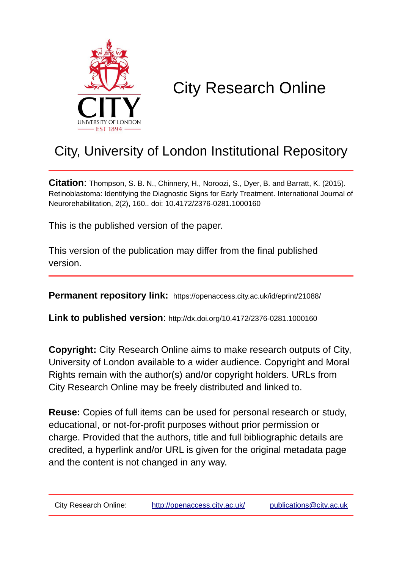

# City Research Online

# City, University of London Institutional Repository

**Citation**: Thompson, S. B. N., Chinnery, H., Noroozi, S., Dyer, B. and Barratt, K. (2015). Retinoblastoma: Identifying the Diagnostic Signs for Early Treatment. International Journal of Neurorehabilitation, 2(2), 160.. doi: 10.4172/2376-0281.1000160

This is the published version of the paper.

This version of the publication may differ from the final published version.

**Permanent repository link:** https://openaccess.city.ac.uk/id/eprint/21088/

**Link to published version**: http://dx.doi.org/10.4172/2376-0281.1000160

**Copyright:** City Research Online aims to make research outputs of City, University of London available to a wider audience. Copyright and Moral Rights remain with the author(s) and/or copyright holders. URLs from City Research Online may be freely distributed and linked to.

**Reuse:** Copies of full items can be used for personal research or study, educational, or not-for-profit purposes without prior permission or charge. Provided that the authors, title and full bibliographic details are credited, a hyperlink and/or URL is given for the original metadata page and the content is not changed in any way.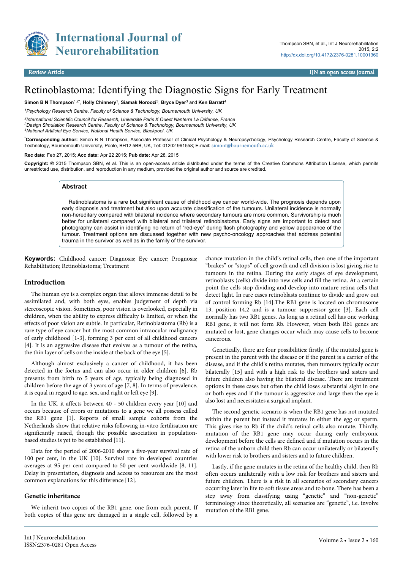

**International Journal of Neurorehabilitation**

# Retinoblastoma: Identifying the Diagnostic Signs for Early Treatment

**Simon B N Thompson**1,2\* , **Holly Chinnery**<sup>1</sup> , **Siamak Noroozi**<sup>3</sup> , **Bryce Dyer**<sup>3</sup> and **Ken Barratt**<sup>4</sup>

*<sup>1</sup>Psychology Research Centre, Faculty of Science & Technology, Bournemouth University, UK*

*2 International Scientific Council for Research, Université Paris X Ouest Nanterre La Défense, France <sup>3</sup>Design Simulation Research Centre, Faculty of Science & Technology, Bournemouth University, UK <sup>4</sup>National Artificial Eye Service, National Health Service, Blackpool, UK*

\***Corresponding author:** Simon B N Thompson, Associate Professor of Clinical Psychology & Neuropsychology, Psychology Research Centre, Faculty of Science & Technology, Bournemouth University, Poole, BH12 5BB, UK, Tel: 01202 961558; E-mail: [simont@bournemouth.ac.uk](mailto:simont@bournemouth.ac.uk)

**Rec date:** Feb 27, 2015; **Acc date:** Apr 22 2015; **Pub date:** Apr 28, 2015

**Copyright: ©** 2015 Thompson SBN, et al. This is an open-access article distributed under the terms of the Creative Commons Attribution License, which permits unrestricted use, distribution, and reproduction in any medium, provided the original author and source are credited.

### **Abstract**

Retinoblastoma is a rare but significant cause of childhood eye cancer world-wide. The prognosis depends upon early diagnosis and treatment but also upon accurate classification of the tumours. Unilateral incidence is normally non-hereditary compared with bilateral incidence where secondary tumours are more common. Survivorship is much better for unilateral compared with bilateral and trilateral retinoblastoma. Early signs are important to detect and photography can assist in identifying no return of "red-eye" during flash photography and yellow appearance of the tumour. Treatment options are discussed together with new psycho-oncology approaches that address potential trauma in the survivor as well as in the family of the survivor.

**Keywords:** Childhood cancer; Diagnosis; Eye cancer; Prognosis; Rehabilitation; Retinoblastoma; Treatment

### **Introduction**

The human eye is a complex organ that allows immense detail to be assimilated and, with both eyes, enables judgement of depth via stereoscopic vision. Sometimes, poor vision is overlooked, especially in children, when the ability to express difficulty is limited, or when the effects of poor vision are subtle. In particular, Retinoblastoma (Rb) is a rare type of eye cancer but the most common intraocular malignancy of early childhood [1-3], forming 3 per cent of all childhood cancers [4]. It is an aggressive disease that evolves as a tumour of the retina, the thin layer of cells on the inside at the back of the eye [5].

Although almost exclusively a cancer of childhood, it has been detected in the foetus and can also occur in older children [6]. Rb presents from birth to 5 years of age, typically being diagnosed in children before the age of 3 years of age [7, 8]. In terms of prevalence, it is equal in regard to age, sex, and right or left eye [9].

In the UK, it affects between 40 - 50 children every year [10] and occurs because of errors or mutations to a gene we all possess called the RB1 gene [1]. Reports of small sample cohorts from the Netherlands show that relative risks following in-vitro fertilisation are significantly raised, though the possible association in populationbased studies is yet to be established [11].

Data for the period of 2006-2010 show a five-year survival rate of 100 per cent, in the UK [10]. Survival rate in developed countries averages at 95 per cent compared to 50 per cent worldwide [8, 11]. Delay in presentation, diagnosis and access to resources are the most common explanations for this difference [12].

#### **Genetic inheritance**

We inherit two copies of the RB1 gene, one from each parent. If both copies of this gene are damaged in a single cell, followed by a chance mutation in the child's retinal cells, then one of the important "brakes" or "stops" of cell growth and cell division is lost giving rise to tumours in the retina. During the early stages of eye development, retinoblasts (cells) divide into new cells and fill the retina. At a certain point the cells stop dividing and develop into mature retina cells that detect light. In rare cases retinoblasts continue to divide and grow out of control forming Rb [14].The RB1 gene is located on chromosome 13, position 14.2 and is a tumour suppressor gene [3]. Each cell normally has two RB1 genes. As long as a retinal cell has one working RB1 gene, it will not form Rb. However, when both Rb1 genes are mutated or lost, gene changes occur which may cause cells to become cancerous.

Genetically, there are four possibilities: firstly, if the mutated gene is present in the parent with the disease or if the parent is a carrier of the disease, and if the child's retina mutates, then tumours typically occur bilaterally [15] and with a high risk to the brothers and sisters and future children also having the bilateral disease. There are treatment options in these cases but often the child loses substantial sight in one or both eyes and if the tumour is aggressive and large then the eye is also lost and necessitates a surgical implant.

The second genetic scenario is when the RB1 gene has not mutated within the parent but instead it mutates in either the egg or sperm. This gives rise to Rb if the child's retinal cells also mutate. Thirdly, mutation of the RB1 gene may occur during early embryonic development before the cells are defined and if mutation occurs in the retina of the unborn child then Rb can occur unilaterally or bilaterally with lower risk to brothers and sisters and to future children.

Lastly, if the gene mutates in the retina of the healthy child, then Rb often occurs unilaterally with a low risk for brothers and sisters and future children. There is a risk in all scenarios of secondary cancers occurring later in life to soft tissue areas and to bone. There has been a step away from classifying using "genetic" and "non-genetic" terminology since theoretically, all scenarios are "genetic", i.e. involve mutation of the RB1 gene.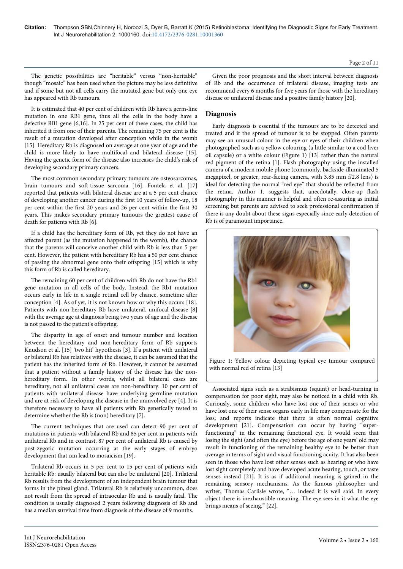The genetic possibilities are "heritable" versus "non-heritable" though "mosaic" has been used when the picture may be less definitive and if some but not all cells carry the mutated gene but only one eye has appeared with Rb tumours.

It is estimated that 40 per cent of children with Rb have a germ-line mutation in one RB1 gene, thus all the cells in the body have a defective RB1 gene [6,16]. In 25 per cent of these cases, the child has inherited it from one of their parents. The remaining 75 per cent is the result of a mutation developed after conception while in the womb [15]. Hereditary Rb is diagnosed on average at one year of age and the child is more likely to have multifocal and bilateral disease [15]. Having the genetic form of the disease also increases the child's risk of developing secondary primary cancers.

The most common secondary primary tumours are osteosarcomas, brain tumours and soft-tissue sarcoma [16]. Fontela et al. [17] reported that patients with bilateral disease are at a 5 per cent chance of developing another cancer during the first 10 years of follow-up, 18 per cent within the first 20 years and 26 per cent within the first 30 years. This makes secondary primary tumours the greatest cause of death for patients with Rb [6].

If a child has the hereditary form of Rb, yet they do not have an affected parent (as the mutation happened in the womb), the chance that the parents will conceive another child with Rb is less than 5 per cent. However, the patient with hereditary Rb has a 50 per cent chance of passing the abnormal gene onto their offspring [15] which is why this form of Rb is called hereditary.

The remaining 60 per cent of children with Rb do not have the Rb1 gene mutation in all cells of the body. Instead, the Rb1 mutation occurs early in life in a single retinal cell by chance, sometime after conception [4]. As of yet, it is not known how or why this occurs [18]. Patients with non-hereditary Rb have unilateral, unifocal disease [8] with the average age at diagnosis being two years of age and the disease is not passed to the patient's offspring.

The disparity in age of onset and tumour number and location between the hereditary and non-hereditary form of Rb supports Knudson et al. [15] 'two hit' hypothesis [3]. If a patient with unilateral or bilateral Rb has relatives with the disease, it can be assumed that the patient has the inherited form of Rb. However, it cannot be assumed that a patient without a family history of the disease has the nonhereditary form. In other words, whilst all bilateral cases are hereditary, not all unilateral cases are non-hereditary. 10 per cent of patients with unilateral disease have underlying germline mutation and are at risk of developing the disease in the uninvolved eye [4]. It is therefore necessary to have all patients with Rb genetically tested to determine whether the Rb is (non) hereditary [7].

The current techniques that are used can detect 90 per cent of mutations in patients with bilateral Rb and 85 per cent in patients with unilateral Rb and in contrast, 87 per cent of unilateral Rb is caused by post-zygotic mutation occurring at the early stages of embryo development that can lead to mosaicism [19].

Trilateral Rb occurs in 5 per cent to 15 per cent of patients with heritable Rb: usually bilateral but can also be unilateral [20]. Trilateral Rb results from the development of an independent brain tumour that forms in the pineal gland. Trilateral Rb is relatively uncommon, does not result from the spread of intraocular Rb and is usually fatal. The condition is usually diagnosed 2 years following diagnosis of Rb and has a median survival time from diagnosis of the disease of 9 months.

Given the poor prognosis and the short interval between diagnosis of Rb and the occurrence of trilateral disease, imaging tests are recommend every 6 months for five years for those with the hereditary disease or unilateral disease and a positive family history [20].

# **Diagnosis**

Early diagnosis is essential if the tumours are to be detected and treated and if the spread of tumour is to be stopped. Often parents may see an unusual colour in the eye or eyes of their children when photographed such as a yellow colouring (a little similar to a cod liver oil capsule) or a white colour (Figure 1) [13] rather than the natural red pigment of the retina [1]. Flash photography using the installed camera of a modern mobile phone (commonly, backside-illuminated 5 megapixel, or greater, rear-facing camera, with 3.85 mm f/2.8 lens) is ideal for detecting the normal "red eye" that should be reflected from the retina. Author 1, suggests that, anecdotally, close-up flash photography in this manner is helpful and often re-assuring as initial screening but parents are advised to seek professional confirmation if there is any doubt about these signs especially since early detection of Rb is of paramount importance.



Figure 1: Yellow colour depicting typical eye tumour compared with normal red of retina [13]

Associated signs such as a strabismus (squint) or head-turning in compensation for poor sight, may also be noticed in a child with Rb. Curiously, some children who have lost one of their senses or who have lost one of their sense organs early in life may compensate for the loss; and reports indicate that there is often normal cognitive development [21]. Compensation can occur by having "superfunctioning" in the remaining functional eye. It would seem that losing the sight (and often the eye) before the age of one years' old may result in functioning of the remaining healthy eye to be better than average in terms of sight and visual functioning acuity. It has also been seen in those who have lost other senses such as hearing or who have lost sight completely and have developed acute hearing, touch, or taste senses instead [21]. It is as if additional meaning is gained in the remaining sensory mechanisms. As the famous philosopher and writer, Thomas Carlisle wrote, "… indeed it is well said. In every object there is inexhaustible meaning. The eye sees in it what the eye brings means of seeing." [22].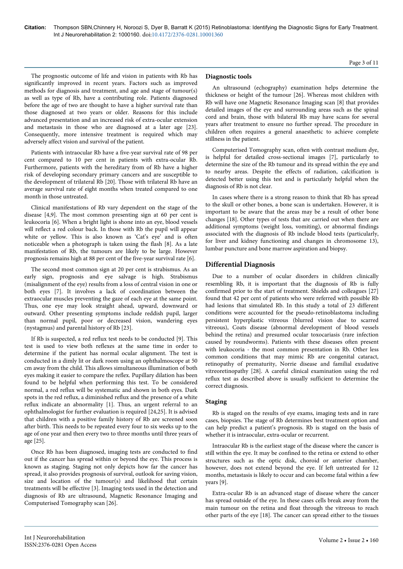The prognostic outcome of life and vision in patients with Rb has significantly improved in recent years. Factors such as improved methods for diagnosis and treatment, and age and stage of tumour(s) as well as type of Rb, have a contributing role. Patients diagnosed before the age of two are thought to have a higher survival rate than those diagnosed at two years or older. Reasons for this include advanced presentation and an increased risk of extra-ocular extension and metastasis in those who are diagnosed at a later age [23]. Consequently, more intensive treatment is required which may adversely affect vision and survival of the patient.

Patients with intraocular Rb have a five-year survival rate of 98 per cent compared to 10 per cent in patients with extra-ocular Rb. Furthermore, patients with the hereditary from of Rb have a higher risk of developing secondary primary cancers and are susceptible to the development of trilateral Rb [20]. Those with trilateral Rb have an average survival rate of eight months when treated compared to one month in those untreated.

Clinical manifestations of Rb vary dependent on the stage of the disease [4,9]. The most common presenting sign at 60 per cent is leukocoria [6]. When a bright light is shone into an eye, blood vessels will reflect a red colour back. In those with Rb the pupil will appear white or yellow. This is also known as 'Cat's eye' and is often noticeable when a photograph is taken using the flash [8]. As a late manifestation of Rb, the tumours are likely to be large. However prognosis remains high at 88 per cent of the five-year survival rate [6].

The second most common sign at 20 per cent is strabismus. As an early sign, prognosis and eye salvage is high. Strabismus (misalignment of the eye) results from a loss of central vision in one or both eyes [7]. It involves a lack of coordination between the extraocular muscles preventing the gaze of each eye at the same point. Thus, one eye may look straight ahead, upward, downward or outward. Other presenting symptoms include reddish pupil, larger than normal pupil, poor or decreased vision, wandering eyes (nystagmus) and parental history of Rb [23].

If Rb is suspected, a red reflux test needs to be conducted [9]. This test is used to view both reflexes at the same time in order to determine if the patient has normal ocular alignment. The test is conducted in a dimly lit or dark room using an ophthalmoscope at 50 cm away from the child. This allows simultaneous illumination of both eyes making it easier to compare the reflex. Pupillary dilation has been found to be helpful when performing this test. To be considered normal, a red reflux will be systematic and shown in both eyes. Dark spots in the red reflux, a diminished reflux and the presence of a white reflux indicate an abnormality [1]. Thus, an urgent referral to an ophthalmologist for further evaluation is required [24,25]. It is advised that children with a positive family history of Rb are screened soon after birth. This needs to be repeated every four to six weeks up to the age of one year and then every two to three months until three years of age [25].

Once Rb has been diagnosed, imaging tests are conducted to find out if the cancer has spread within or beyond the eye. This process is known as staging. Staging not only depicts how far the cancer has spread, it also provides prognosis of survival, outlook for saving vision, size and location of the tumour(s) and likelihood that certain treatments will be effective [3]. Imaging tests used in the detection and diagnosis of Rb are ultrasound, Magnetic Resonance Imaging and Computerised Tomography scan [26].

# **Diagnostic tools**

An ultrasound (echography) examination helps determine the thickness or height of the tumour [26]. Whereas most children with Rb will have one Magnetic Resonance Imaging scan [8] that provides detailed images of the eye and surrounding areas such as the spinal cord and brain, those with bilateral Rb may have scans for several years after treatment to ensure no further spread. The procedure in children often requires a general anaesthetic to achieve complete stillness in the patient.

Computerised Tomography scan, often with contrast medium dye, is helpful for detailed cross-sectional images [7], particularly to determine the size of the Rb tumour and its spread within the eye and to nearby areas. Despite the effects of radiation, calcification is detected better using this test and is particularly helpful when the diagnosis of Rb is not clear.

In cases where there is a strong reason to think that Rb has spread to the skull or other bones, a bone scan is undertaken. However, it is important to be aware that the areas may be a result of other bone changes [18]. Other types of tests that are carried out when there are additional symptoms (weight loss, vomiting), or abnormal findings associated with the diagnosis of Rb include blood tests (particularly, for liver and kidney functioning and changes in chromosome 13), lumbar puncture and bone marrow aspiration and biopsy.

# **Differential Diagnosis**

Due to a number of ocular disorders in children clinically resembling Rb, it is important that the diagnosis of Rb is fully confirmed prior to the start of treatment. Shields and colleagues [27] found that 42 per cent of patients who were referred with possible Rb had lesions that simulated Rb. In this study a total of 23 different conditions were accounted for the pseudo-retinoblastoma including persistent hyperplastic vitreous (blurred vision due to scarred vitreous), Coats disease (abnormal development of blood vessels behind the retina) and presumed ocular toxocariasis (rare infection caused by roundworms). Patients with these diseases often present with leukocoria - the most common presentation in Rb. Other less common conditions that may mimic Rb are congenital cataract, retinopathy of prematurity, Norrie disease and familial exudative vitreoretinopathy [28]. A careful clinical examination using the red reflux test as described above is usually sufficient to determine the correct diagnosis.

# **Staging**

Rb is staged on the results of eye exams, imaging tests and in rare cases, biopsies. The stage of Rb determines best treatment option and can help predict a patient's prognosis. Rb is staged on the basis of whether it is intraocular, extra-ocular or recurrent.

Intraocular Rb is the earliest stage of the disease where the cancer is still within the eye. It may be confined to the retina or extend to other structures such as the optic disk, choroid or anterior chamber, however, does not extend beyond the eye. If left untreated for 12 months, metastasis is likely to occur and can become fatal within a few years [9].

Extra-ocular Rb is an advanced stage of disease where the cancer has spread outside of the eye. In these cases cells break away from the main tumour on the retina and float through the vitreous to reach other parts of the eye [18]. The cancer can spread either to the tissues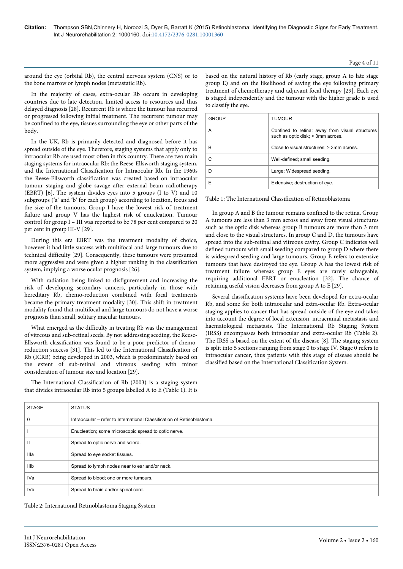### Page 4 of 11

around the eye (orbital Rb), the central nervous system (CNS) or to the bone marrow or lymph nodes (metastatic Rb).

In the majority of cases, extra-ocular Rb occurs in developing countries due to late detection, limited access to resources and thus delayed diagnosis [28]. Recurrent Rb is where the tumour has recurred or progressed following initial treatment. The recurrent tumour may be confined to the eye, tissues surrounding the eye or other parts of the body.

In the UK, Rb is primarily detected and diagnosed before it has spread outside of the eye. Therefore, staging systems that apply only to intraocular Rb are used most often in this country. There are two main staging systems for intraocular Rb: the Reese-Ellsworth staging system, and the International Classification for Intraocular Rb. In the 1960s the Reese-Ellsworth classification was created based on intraocular tumour staging and globe savage after external beam radiotherapy (EBRT) [6]. The system divides eyes into 5 groups (I to V) and 10 subgroups ('a' and 'b' for each group) according to location, focus and the size of the tumours. Group I have the lowest risk of treatment failure and group V has the highest risk of enucleation. Tumour control for group I – III was reported to be 78 per cent compared to 20 per cent in group III-V [29].

During this era EBRT was the treatment modality of choice, however it had little success with multifocal and large tumours due to technical difficulty [29]. Consequently, these tumours were presumed more aggressive and were given a higher ranking in the classification system, implying a worse ocular prognosis [26].

With radiation being linked to disfigurement and increasing the risk of developing secondary cancers, particularly in those with hereditary Rb, chemo-reduction combined with focal treatments became the primary treatment modality [30]. This shift in treatment modality found that multifocal and large tumours do not have a worse prognosis than small, solitary macular tumours.

What emerged as the difficulty in treating Rb was the management of vitreous and sub-retinal seeds. By not addressing seeding, the Reese-Ellsworth classification was found to be a poor predictor of chemoreduction success [31]. This led to the International Classification of Rb (ICRB) being developed in 2003, which is predominately based on the extent of sub-retinal and vitreous seeding with minor consideration of tumour size and location [29].

The International Classification of Rb (2003) is a staging system that divides intraocular Rb into 5 groups labelled A to E (Table 1). It is based on the natural history of Rb (early stage, group A to late stage group E) and on the likelihood of saving the eye following primary treatment of chemotherapy and adjuvant focal therapy [29]. Each eye is staged independently and the tumour with the higher grade is used to classify the eye.

| <b>GROUP</b> | <b>TUMOUR</b>                                                                        |
|--------------|--------------------------------------------------------------------------------------|
| А            | Confined to retina; away from visual structures<br>such as optic disk; < 3mm across. |
| R            | Close to visual structures; > 3mm across.                                            |
|              | Well-defined; small seeding.                                                         |
|              | Large; Widespread seeding.                                                           |
|              | Extensive; destruction of eye.                                                       |

Table 1: The International Classification of Retinoblastoma

In group A and B the tumour remains confined to the retina. Group A tumours are less than 3 mm across and away from visual structures such as the optic disk whereas group B tumours are more than 3 mm and close to the visual structures. In group C and D, the tumours have spread into the sub-retinal and vitreous cavity. Group C indicates well defined tumours with small seeding compared to group D where there is widespread seeding and large tumours. Group E refers to extensive tumours that have destroyed the eye. Group A has the lowest risk of treatment failure whereas group E eyes are rarely salvageable, requiring additional EBRT or enucleation [32]. The chance of retaining useful vision decreases from group A to E [29].

Several classification systems have been developed for extra-ocular Rb, and some for both intraocular and extra-ocular Rb. Extra-ocular staging applies to cancer that has spread outside of the eye and takes into account the degree of local extension, intracranial metastasis and haematological metastasis. The International Rb Staging System (IRSS) encompasses both intraocular and extra-ocular Rb (Table 2). The IRSS is based on the extent of the disease [8]. The staging system is split into 5 sections ranging from stage 0 to stage IV. Stage 0 refers to intraocular cancer, thus patients with this stage of disease should be classified based on the International Classification System.

| <b>STAGE</b>    | <b>STATUS</b>                                                           |
|-----------------|-------------------------------------------------------------------------|
|                 | Intraoccular – refer to International Classification of Retinoblastoma. |
|                 | Enucleation; some microscopic spread to optic nerve.                    |
| ш               | Spread to optic nerve and sclera.                                       |
| Illa            | Spread to eye socket tissues.                                           |
| IIIb            | Spread to lymph nodes near to ear and/or neck.                          |
| IVa             | Spread to blood; one or more tumours.                                   |
| IV <sub>b</sub> | Spread to brain and/or spinal cord.                                     |

Table 2: International Retinoblastoma Staging System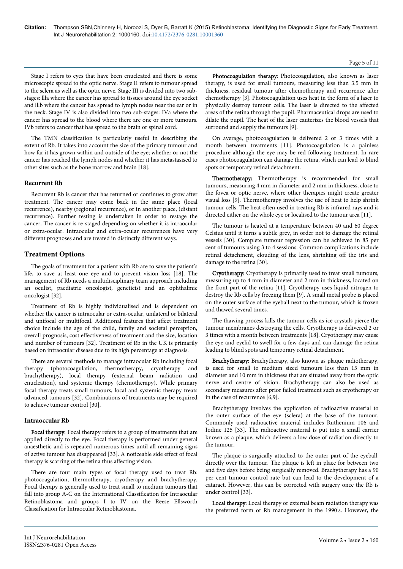#### Page 5 of 11

Stage I refers to eyes that have been enucleated and there is some microscopic spread to the optic nerve. Stage II refers to tumour spread to the sclera as well as the optic nerve. Stage III is divided into two substages: llla where the cancer has spread to tissues around the eye socket and lllb where the cancer has spread to lymph nodes near the ear or in the neck. Stage IV is also divided into two sub-stages: IVa where the cancer has spread to the blood where there are one or more tumours. IVb refers to cancer that has spread to the brain or spinal cord.

The TMN classification is particularly useful in describing the extent of Rb. It takes into account the size of the primary tumour and how far it has grown within and outside of the eye; whether or not the cancer has reached the lymph nodes and whether it has metastasised to other sites such as the bone marrow and brain [18].

# **Recurrent Rb**

Recurrent Rb is cancer that has returned or continues to grow after treatment. The cancer may come back in the same place (local recurrence), nearby (regional recurrence), or in another place, (distant recurrence). Further testing is undertaken in order to restage the cancer. The cancer is re-staged depending on whether it is intraocular or extra-ocular. Intraocular and extra-ocular recurrences have very different prognoses and are treated in distinctly different ways.

# **Treatment Options**

The goals of treatment for a patient with Rb are to save the patient's life, to save at least one eye and to prevent vision loss [18]. The management of Rb needs a multidisciplinary team approach including an oculist, paediatric oncologist, geneticist and an ophthalmic oncologist [32].

Treatment of Rb is highly individualised and is dependent on whether the cancer is intraocular or extra-ocular, unilateral or bilateral and unifocal or multifocal. Additional features that affect treatment choice include the age of the child, family and societal perception, overall prognosis, cost effectiveness of treatment and the size, location and number of tumours [32]. Treatment of Rb in the UK is primarily based on intraocular disease due to its high percentage at diagnosis.

There are several methods to manage intraocular Rb including focal therapy (photocoagulation, thermotherapy, cryotherapy and brachytherapy), local therapy (external beam radiation and enucleation), and systemic therapy (chemotherapy). While primary focal therapy treats small tumours, local and systemic therapy treats advanced tumours [32]. Combinations of treatments may be required to achieve tumour control [30].

# **Intraoccular Rb**

Focal therapy: Focal therapy refers to a group of treatments that are applied directly to the eye. Focal therapy is performed under general anaesthetic and is repeated numerous times until all remaining signs of active tumour has disappeared [33]. A noticeable side effect of focal therapy is scarring of the retina thus affecting vision.

There are four main types of focal therapy used to treat Rb: photocoagulation, thermotherapy, cryotherapy and brachytherapy. Focal therapy is generally used to treat small to medium tumours that fall into group A-C on the International Classification for Intraocular Retinoblastoma and groups I to IV on the Reese Ellsworth Classification for Intraocular Retinoblastoma.

Photocoagulation therapy: Photocoagulation, also known as laser therapy, is used for small tumours, measuring less than 3.5 mm in thickness, residual tumour after chemotherapy and recurrence after chemotherapy [3]. Photocoagulation uses heat in the form of a laser to physically destroy tumour cells. The laser is directed to the affected areas of the retina through the pupil. Pharmaceutical drops are used to dilate the pupil. The heat of the laser cauterizes the blood vessels that surround and supply the tumours [9].

On average, photocoagulation is delivered 2 or 3 times with a month between treatments [11]. Photocoagulation is a painless procedure although the eye may be red following treatment. In rare cases photocoagulation can damage the retina, which can lead to blind spots or temporary retinal detachment.

Thermotherapy: Thermotherapy is recommended for small tumours, measuring 4 mm in diameter and 2 mm in thickness, close to the fovea or optic nerve, where other therapies might create greater visual loss [9]. Thermotherapy involves the use of heat to help shrink tumour cells. The heat often used in treating Rb is infrared rays and is directed either on the whole eye or localised to the tumour area [11].

The tumour is heated at a temperature between 40 and 60 degree Celsius until it turns a subtle grey, in order not to damage the retinal vessels [30]. Complete tumour regression can be achieved in 85 per cent of tumours using 3 to 4 sessions. Common complications include retinal detachment, clouding of the lens, shrinking off the iris and damage to the retina [30].

Cryotherapy: Cryotherapy is primarily used to treat small tumours, measuring up to 4 mm in diameter and 2 mm in thickness, located on the front part of the retina [11]. Cryotherapy uses liquid nitrogen to destroy the Rb cells by freezing them [9]. A small metal probe is placed on the outer surface of the eyeball next to the tumour, which is frozen and thawed several times.

The thawing process kills the tumour cells as ice crystals pierce the tumour membranes destroying the cells. Cryotherapy is delivered 2 or 3 times with a month between treatments [18]. Cryotherapy may cause the eye and eyelid to swell for a few days and can damage the retina leading to blind spots and temporary retinal detachment.

Brachytherapy: Brachytherapy, also known as plaque radiotherapy, is used for small to medium sized tumours less than 15 mm in diameter and 10 mm in thickness that are situated away from the optic nerve and centre of vision. Brachytherapy can also be used as secondary measures after prior failed treatment such as cryotherapy or in the case of recurrence [6,9].

Brachytherapy involves the application of radioactive material to the outer surface of the eye (sclera) at the base of the tumour. Commonly used radioactive material includes Ruthenium 106 and Iodine 125 [33]. The radioactive material is put into a small carrier known as a plaque, which delivers a low dose of radiation directly to the tumour.

The plaque is surgically attached to the outer part of the eyeball, directly over the tumour. The plaque is left in place for between two and five days before being surgically removed. Brachytherapy has a 90 per cent tumour control rate but can lead to the development of a cataract. However, this can be corrected with surgery once the Rb is under control [33].

Local therapy: Local therapy or external beam radiation therapy was the preferred form of Rb management in the 1990's. However, the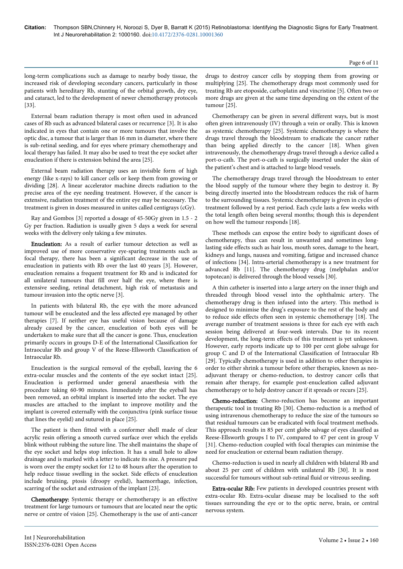#### Page 6 of 11

long-term complications such as damage to nearby body tissue, the increased risk of developing secondary cancers, particularly in those patients with hereditary Rb, stunting of the orbital growth, dry eye, and cataract, led to the development of newer chemotherapy protocols [33].

External beam radiation therapy is most often used in advanced cases of Rb such as advanced bilateral cases or recurrence [3]. It is also indicated in eyes that contain one or more tumours that involve the optic disc, a tumour that is larger than 16 mm in diameter, where there is sub-retinal seeding, and for eyes where primary chemotherapy and local therapy has failed. It may also be used to treat the eye socket after enucleation if there is extension behind the area [25].

External beam radiation therapy uses an invisible form of high energy (like x-rays) to kill cancer cells or keep them from growing or dividing [28]. A linear accelerator machine directs radiation to the precise area of the eye needing treatment. However, if the cancer is extensive, radiation treatment of the entire eye may be necessary. The treatment is given in doses measured in unites called centigrays (cGy).

Ray and Gombos [3] reported a dosage of 45-50Gy given in 1.5 - 2 Gy per fraction. Radiation is usually given 5 days a week for several weeks with the delivery only taking a few minutes.

Enucleation: As a result of earlier tumour detection as well as improved use of more conservative eye-sparing treatments such as focal therapy, there has been a significant decrease in the use of enucleation in patients with Rb over the last 40 years [3]. However, enucleation remains a frequent treatment for Rb and is indicated for all unilateral tumours that fill over half the eye, where there is extensive seeding, retinal detachment, high risk of metastasis and tumour invasion into the optic nerve [3].

In patients with bilateral Rb, the eye with the more advanced tumour will be enucleated and the less affected eye managed by other therapies [7]. If neither eye has useful vision because of damage already caused by the cancer, enucleation of both eyes will be undertaken to make sure that all the cancer is gone. Thus, enucleation primarily occurs in groups D-E of the International Classification for Intraocular Rb and group V of the Reese-Ellsworth Classification of Intraocular Rb.

Enucleation is the surgical removal of the eyeball, leaving the 6 extra-ocular muscles and the contents of the eye socket intact [25]. Enucleation is performed under general anaesthesia with the procedure taking 60-90 minutes. Immediately after the eyeball has been removed, an orbital implant is inserted into the socket. The eye muscles are attached to the implant to improve motility and the implant is covered externally with the conjunctiva (pink surface tissue that lines the eyelid) and sutured in place [25].

The patient is then fitted with a conformer shell made of clear acrylic resin offering a smooth curved surface over which the eyelids blink without rubbing the suture line. The shell maintains the shape of the eye socket and helps stop infection. It has a small hole to allow drainage and is marked with a letter to indicate its size. A pressure pad is worn over the empty socket for 12 to 48 hours after the operation to help reduce tissue swelling in the socket. Side effects of enucleation include bruising, ptosis (droopy eyelid), haemorrhage, infection, scarring of the socket and extrusion of the implant [23].

Chemotherapy: Systemic therapy or chemotherapy is an effective treatment for large tumours or tumours that are located near the optic nerve or centre of vision [25]. Chemotherapy is the use of anti-cancer

drugs to destroy cancer cells by stopping them from growing or multiplying [25]. The chemotherapy drugs most commonly used for treating Rb are etoposide, carboplatin and vincristine [5]. Often two or more drugs are given at the same time depending on the extent of the tumour [25].

Chemotherapy can be given in several different ways, but is most often given intravenously (IV) through a vein or orally. This is known as systemic chemotherapy [25]. Systemic chemotherapy is where the drugs travel through the bloodstream to eradicate the cancer rather than being applied directly to the cancer [18]. When given intravenously, the chemotherapy drugs travel through a device called a port-o-cath. The port-o-cath is surgically inserted under the skin of the patient's chest and is attached to large blood vessels.

The chemotherapy drugs travel through the bloodstream to enter the blood supply of the tumour where they begin to destroy it. By being directly inserted into the bloodstream reduces the risk of harm to the surrounding tissues. Systemic chemotherapy is given in cycles of treatment followed by a rest period. Each cycle lasts a few weeks with the total length often being several months; though this is dependent on how well the tumour responds [18].

These methods can expose the entire body to significant doses of chemotherapy, thus can result in unwanted and sometimes longlasting side effects such as hair loss, mouth sores, damage to the heart, kidneys and lungs, nausea and vomiting, fatigue and increased chance of infections [34]. Intra-arterial chemotherapy is a new treatment for advanced Rb [11]. The chemotherapy drug (melphalan and/or topotecan) is delivered through the blood vessels [30].

A thin catheter is inserted into a large artery on the inner thigh and threaded through blood vessel into the ophthalmic artery. The chemotherapy drug is then infused into the artery. This method is designed to minimise the drug's exposure to the rest of the body and to reduce side effects often seen in systemic chemotherapy [18]. The average number of treatment sessions is three for each eye with each session being delivered at four-week intervals. Due to its recent development, the long-term effects of this treatment is yet unknown. However, early reports indicate up to 100 per cent globe salvage for group C and D of the International Classification of Intraocular Rb [29]. Typically chemotherapy is used in addition to other therapies in order to either shrink a tumour before other therapies, known as neoadjuvant therapy or chemo-reduction, to destroy cancer cells that remain after therapy, for example post-enucleation called adjuvant chemotherapy or to help destroy cancer if it spreads or recurs [25].

Chemo-reduction: Chemo-reduction has become an important therapeutic tool in treating Rb [30]. Chemo-reduction is a method of using intravenous chemotherapy to reduce the size of the tumours so that residual tumours can be eradicated with focal treatment methods. This approach results in 85 per cent globe salvage of eyes classified as Reese-Ellsworth groups I to IV, compared to 47 per cent in group V [31]. Chemo-reduction coupled with focal therapies can minimise the need for enucleation or external beam radiation therapy.

Chemo-reduction is used in nearly all children with bilateral Rb and about 25 per cent of children with unilateral Rb [30]. It is most successful for tumours without sub-retinal fluid or vitreous seeding.

Extra-ocular Rib: Few patients in developed countries present with extra-ocular Rb. Extra-ocular disease may be localised to the soft tissues surrounding the eye or to the optic nerve, brain, or central nervous system.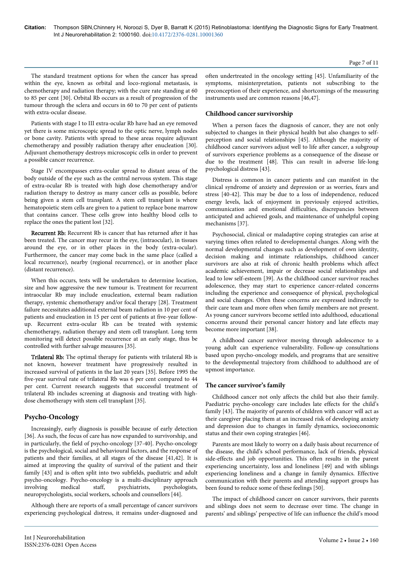The standard treatment options for when the cancer has spread within the eye, known as orbital and loco-regional metastasis, is chemotherapy and radiation therapy; with the cure rate standing at 60 to 85 per cent [30]. Orbital Rb occurs as a result of progression of the tumour through the sclera and occurs in 60 to 70 per cent of patients with extra-ocular disease.

Patients with stage I to III extra-ocular Rb have had an eye removed yet there is some microscopic spread to the optic nerve, lymph nodes or bone cavity. Patients with spread to these areas require adjuvant chemotherapy and possibly radiation therapy after enucleation [30]. Adjuvant chemotherapy destroys microscopic cells in order to prevent a possible cancer recurrence.

Stage IV encompasses extra-ocular spread to distant areas of the body outside of the eye such as the central nervous system. This stage of extra-ocular Rb is treated with high dose chemotherapy and/or radiation therapy to destroy as many cancer cells as possible, before being given a stem cell transplant. A stem cell transplant is where hematopoietic stem cells are given to a patient to replace bone marrow that contains cancer. These cells grow into healthy blood cells to replace the ones the patient lost [32].

Recurrent Rb: Recurrent Rb is cancer that has returned after it has been treated. The cancer may recur in the eye, (intraocular), in tissues around the eye, or in other places in the body (extra-ocular). Furthermore, the cancer may come back in the same place (called a local recurrence), nearby (regional recurrence), or in another place (distant recurrence).

When this occurs, tests will be undertaken to determine location, size and how aggressive the new tumour is. Treatment for recurrent intraocular Rb may include enucleation, external beam radiation therapy, systemic chemotherapy and/or focal therapy [28]. Treatment failure necessitates additional external beam radiation in 10 per cent of patients and enucleation in 15 per cent of patients at five-year followup. Recurrent extra-ocular Rb can be treated with systemic chemotherapy, radiation therapy and stem cell transplant. Long term monitoring will detect possible recurrence at an early stage, thus be controlled with further salvage measures [35].

Trilateral Rb: The optimal therapy for patients with trilateral Rb is not known, however treatment have progressively resulted in increased survival of patients in the last 20 years [35]. Before 1995 the five-year survival rate of trilateral Rb was 6 per cent compared to 44 per cent. Current research suggests that successful treatment of trilateral Rb includes screening at diagnosis and treating with highdose chemotherapy with stem cell transplant [35].

# **Psycho-Oncology**

Increasingly, early diagnosis is possible because of early detection [36]. As such, the focus of care has now expanded to survivorship, and in particularly, the field of psycho-oncology [37-40]. Psycho-oncology is the psychological, social and behavioural factors, and the response of patients and their families, at all stages of the disease [41,42]. It is aimed at improving the quality of survival of the patient and their family [43] and is often split into two subfields, paediatric and adult psycho-oncology. Psycho-oncology is a multi-disciplinary approach involving medical staff, psychiatrists, psychologists, neuropsychologists, social workers, schools and counsellors [44].

Although there are reports of a small percentage of cancer survivors experiencing psychological distress, it remains under-diagnosed and

often undertreated in the oncology setting [45]. Unfamiliarity of the symptoms, misinterpretation, patients not subscribing to the preconception of their experience, and shortcomings of the measuring instruments used are common reasons [46,47].

# **Childhood cancer survivorship**

When a person faces the diagnosis of cancer, they are not only subjected to changes in their physical health but also changes to selfperception and social relationships [45]. Although the majority of childhood cancer survivors adjust well to life after cancer, a subgroup of survivors experience problems as a consequence of the disease or due to the treatment [48]. This can result in adverse life-long psychological distress [43].

Distress is common in cancer patients and can manifest in the clinical syndrome of anxiety and depression or as worries, fears and stress [40-42]. This may be due to a loss of independence, reduced energy levels, lack of enjoyment in previously enjoyed activities, communication and emotional difficulties, discrepancies between anticipated and achieved goals, and maintenance of unhelpful coping mechanisms [37].

Psychosocial, clinical or maladaptive coping strategies can arise at varying times often related to developmental changes. Along with the normal developmental changes such as development of own identity, decision making and intimate relationships, childhood cancer survivors are also at risk of chronic health problems which affect academic achievement, impair or decrease social relationships and lead to low self-esteem [39]. As the childhood cancer survivor reaches adolescence, they may start to experience cancer-related concerns including the experience and consequence of physical, psychological and social changes. Often these concerns are expressed indirectly to their care team and more often when family members are not present. As young cancer survivors become settled into adulthood, educational concerns around their personal cancer history and late effects may become more important [38].

A childhood cancer survivor moving through adolescence to a young adult can experience vulnerability. Follow-up consultations based upon psycho-oncology models, and programs that are sensitive to the developmental trajectory from childhood to adulthood are of upmost importance.

# **The cancer survivor's family**

Childhood cancer not only affects the child but also their family. Paediatric psycho-oncology care includes late effects for the child's family [43]. The majority of parents of children with cancer will act as their caregiver placing them at an increased risk of developing anxiety and depression due to changes in family dynamics, socioeconomic status and their own coping strategies [46].

Parents are most likely to worry on a daily basis about recurrence of the disease, the child's school performance, lack of friends, physical side-effects and job opportunities. This often results in the parent experiencing uncertainty, loss and loneliness [49] and with siblings experiencing loneliness and a change in family dynamics. Effective communication with their parents and attending support groups has been found to reduce some of these feelings [50].

The impact of childhood cancer on cancer survivors, their parents and siblings does not seem to decrease over time. The change in parents' and siblings' perspective of life can influence the child's mood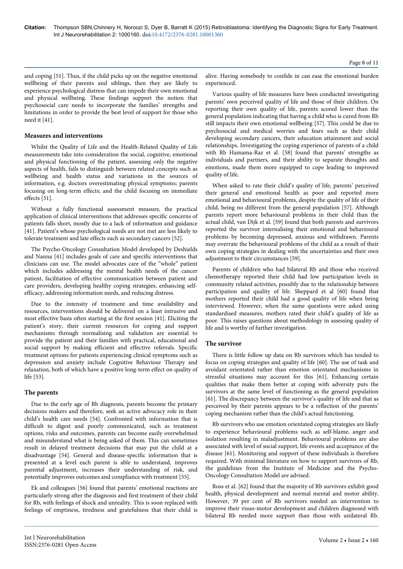and coping [51]. Thus, if the child picks up on the negative emotional wellbeing of their parents and siblings, then they are likely to experience psychological distress that can impede their own emotional and physical wellbeing. These findings support the notion that psychosocial care needs to incorporate the families' strengths and limitations in order to provide the best level of support for those who need it [41].

# **Measures and interventions**

Whilst the Quality of Life and the Health-Related Quality of Life measurements take into consideration the social, cognitive, emotional and physical functioning of the patient, assessing only the negative aspects of health, fails to distinguish between related concepts such as wellbeing and health status and variations in the sources of information, e.g. doctors overestimating physical symptoms; parents focusing on long-term effects; and the child focusing on immediate effects [51].

Without a fully functional assessment measure, the practical application of clinical interventions that addresses specific concerns of patients falls short, mostly due to a lack of information and guidance [41]. Patient's whose psychological needs are not met are less likely to tolerate treatment and late effects such as secondary cancers [52].

The Psycho-Oncology Consultation Model developed by Deshields and Nanna [41] includes goals of care and specific interventions that clinicians can use. The model advocates care of the "whole" patient which includes addressing the mental health needs of the cancer patient, facilitation of effective communication between patient and care providers, developing healthy coping strategies, enhancing selfefficacy, addressing information needs, and reducing distress.

Due to the intensity of treatment and time availability and resources, interventions should be delivered on a least intrusive and most effective basis often starting at the first session [41]. Eliciting the patient's story, their current resources for coping and support mechanisms through normalising and validation are essential to provide the patient and their families with practical, educational and social support by making efficient and effective referrals. Specific treatment options for patients experiencing clinical symptoms such as depression and anxiety include Cognitive Behaviour Therapy and relaxation, both of which have a positive long-term effect on quality of life [53].

# **The parents**

Due to the early age of Rb diagnosis, parents become the primary decisions makers and therefore, seek an active advocacy role in their child's health care needs [54]. Confronted with information that is difficult to digest and poorly communicated, such as treatment options, risks and outcomes, parents can become easily overwhelmed and misunderstand what is being asked of them. This can sometimes result in delayed treatment decisions that may put the child at a disadvantage [54]. General and disease-specific information that is presented at a level each parent is able to understand, improves parental adjustment, increases their understanding of risk, and potentially improves outcomes and compliance with treatment [55].

Ek and colleagues [56] found that parents' emotional reactions are particularly strong after the diagnosis and first treatment of their child for Rb, with feelings of shock and unreality. This is soon replaced with feelings of emptiness, tiredness and gratefulness that their child is

alive. Having somebody to confide in can ease the emotional burden experienced.

Various quality of life measures have been conducted investigating parents' own perceived quality of life and those of their children. On reporting their own quality of life, parents scored lower than the general population indicating that having a child who is cured from Rb still impacts their own emotional wellbeing [57]. This could be due to psychosocial and medical worries and fears such as their child developing secondary cancers, their education attainment and social relationships. Investigating the coping experience of parents of a child with Rb Hamama-Raz et al. [58] found that parents' strengths as individuals and partners, and their ability to separate thoughts and emotions, made them more equipped to cope leading to improved quality of life.

When asked to rate their child's quality of life, parents' perceived their general and emotional health as poor and reported more emotional and behavioural problems, despite the quality of life of their child, being no different from the general population [57]. Although parents report more behavioural problems in their child than the actual child, van Dijk et al. [59] found that both parents and survivors reported the survivor internalising their emotional and behavioural problems by becoming depressed, anxious and withdrawn. Parents may overrate the behavioural problems of the child as a result of their own coping strategies in dealing with the uncertainties and their own adjustment to their circumstances [59].

Parents of children who had bilateral Rb and those who received chemotherapy reported their child had low participation levels in community related activities, possibly due to the relationship between participation and quality of life. Sheppard et al [60] found that mothers reported their child had a good quality of life when being interviewed. However, when the same questions were asked using standardised measures, mothers rated their child's quality of life as poor. This raises questions about methodology in assessing quality of life and is worthy of further investigation.

# **The survivor**

There is little follow up data on Rb survivors which has tended to focus on coping strategies and quality of life [60]. The use of task and avoidant orientated rather than emotion orientated mechanisms in stressful situations may account for this [61]. Enhancing certain qualities that make them better at coping with adversity puts the survivors at the same level of functioning as the general population [61]. The discrepancy between the survivor's quality of life and that as perceived by their parents appears to be a reflection of the parents' coping mechanism rather than the child's actual functioning.

Rb survivors who use emotion orientated coping strategies are likely to experience behavioural problems such as self-blame, anger and isolation resulting in maladjustment. Behavioural problems are also associated with level of social support, life events and acceptance of the disease [61]. Monitoring and support of these individuals is therefore required. With minimal literature on how to support survivors of Rb, the guidelines from the Institute of Medicine and the Psycho-Oncology Consultation Model are advised.

Ross et al. [62] found that the majority of Rb survivors exhibit good health, physical development and normal mental and motor ability. However, 39 per cent of Rb survivors needed an intervention to improve their visuo-motor development and children diagnosed with bilateral Rb needed more support than those with unilateral Rb.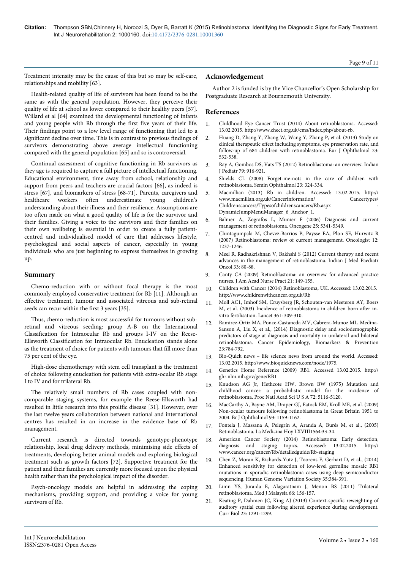Treatment intensity may be the cause of this but so may be self-care, relationships and mobility [63].

Health-related quality of life of survivors has been found to be the same as with the general population. However, they perceive their quality of life at school as lower compared to their healthy peers [57]. Willard et al [64] examined the developmental functioning of infants and young people with Rb through the first five years of their life. Their findings point to a low level range of functioning that led to a significant decline over time. This is in contrast to previous findings of survivors demonstrating above average intellectual functioning compared with the general population [65] and so is controversial.

Continual assessment of cognitive functioning in Rb survivors as they age is required to capture a full picture of intellectual functioning. Educational environment, time away from school, relationship and support from peers and teachers are crucial factors [66], as indeed is stress [67], and biomarkers of stress [68-71]. Parents, caregivers and healthcare workers often underestimate young children's understanding about their illness and their resilience. Assumptions are too often made on what a good quality of life is for the survivor and their families. Giving a voice to the survivors and their families on their own wellbeing is essential in order to create a fully patientcentred and individualised model of care that addresses lifestyle, psychological and social aspects of cancer, especially in young individuals who are just beginning to express themselves in growing up.

# **Summary**

Chemo-reduction with or without focal therapy is the most commonly employed conservative treatment for Rb [11]. Although an effective treatment, tumour and associated vitreous and sub-retinal seeds can recur within the first 3 years [35].

Thus, chemo-reduction is most successful for tumours without subretinal and vitreous seeding: group A-B on the International Classification for Intraocular Rb and groups I-IV on the Reese-Ellsworth Classification for Intraocular Rb. Enucleation stands alone as the treatment of choice for patients with tumours that fill more than 75 per cent of the eye.

High-dose chemotherapy with stem cell transplant is the treatment of choice following enucleation for patients with extra-ocular Rb stage I to IV and for trilateral Rb.

The relatively small numbers of Rb cases coupled with noncomparable staging systems, for example the Reese-Ellsworth had resulted in little research into this prolific disease [31]. However, over the last twelve years collaboration between national and international centres has resulted in an increase in the evidence base of Rb management.

Current research is directed towards genotype-phenotype relationship, local drug delivery methods, minimising side effects of treatments, developing better animal models and exploring biological treatment such as growth factors [72]. Supportive treatment for the patient and their families are currently more focused upon the physical health rather than the psychological impact of the disorder.

Psych-oncology models are helpful in addressing the coping mechanisms, providing support, and providing a voice for young survivors of Rb.

# **Acknowledgement**

Author 2 is funded is by the Vice Chancellor's Open Scholarship for Postgraduate Research at Bournemouth University.

# **References**

- 1. [Childhood Eye Cancer Trust \(2014\) About retinoblastoma.](http://www.chect.org.uk/cms/index.php/about-rb) Accessed: 13.02.2015.<http://www.chect.org.uk/cms/index.php/about-rb>.
- 2. [Huang D, Zhang Y, Zhang W, Wang Y, Zhang P, et al. \(2013\) Study on](http://www.ncbi.nlm.nih.gov/pubmed/23483499) [clinical therapeutic effect including symptoms, eye preservation rate, and](http://www.ncbi.nlm.nih.gov/pubmed/23483499) [follow-up of 684 children with retinoblastoma. Eur J Ophthalmol 23:](http://www.ncbi.nlm.nih.gov/pubmed/23483499) [532-538.](http://www.ncbi.nlm.nih.gov/pubmed/23483499)
- 3. [Ray A, Gombos DS, Vats TS \(2012\) Retinoblastoma: an overview. Indian](http://www.ncbi.nlm.nih.gov/pubmed/22421935) [J Pediatr 79: 916-921.](http://www.ncbi.nlm.nih.gov/pubmed/22421935)
- 4. [Shields CL \(2008\) Forget-me-nots in the care of children with](http://www.ncbi.nlm.nih.gov/pubmed/19085435) [retinoblastoma. Semin Ophthalmol 23: 324-334.](http://www.ncbi.nlm.nih.gov/pubmed/19085435)
- 5. Macmillian (2013) Rb in children. Accessed: 13.02.2015. http:// www.macmillan.org.uk/Cancerinformation/  $Childrenscancers/Types of childrenscancers/Rb. as px$ DynamicJumpMenuManager\_6\_Anchor\_1.
- 6. [Balmer A, Zografos L, Munier F \(2006\) Diagnosis and current](http://www.ncbi.nlm.nih.gov/pubmed/16936756) [management of retinoblastoma. Oncogene 25: 5341-5349.](http://www.ncbi.nlm.nih.gov/pubmed/16936756)
- 7. [Chintagumpala M, Chevez-Barrios P, Paysse EA, Plon SE, Hurwitz R](http://www.ncbi.nlm.nih.gov/pubmed/17962617) [\(2007\) Retinoblastoma: review of current management. Oncologist 12:](http://www.ncbi.nlm.nih.gov/pubmed/17962617) [1237-1246.](http://www.ncbi.nlm.nih.gov/pubmed/17962617)
- 8. [Meel R, Radhakrishnan V, Bakhshi S \(2012\) Current therapy and recent](http://www.ncbi.nlm.nih.gov/pubmed/22988349) [advances in the management of retinoblastoma. Indian J Med Paediatr](http://www.ncbi.nlm.nih.gov/pubmed/22988349) [Oncol 33: 80-88.](http://www.ncbi.nlm.nih.gov/pubmed/22988349)
- 9. [Canty CA \(2009\) Retinoblastoma: an overview for advanced practice](http://www.ncbi.nlm.nih.gov/pubmed/19302690) [nurses. J Am Acad Nurse Pract 21: 149-155.](http://www.ncbi.nlm.nih.gov/pubmed/19302690)
- 10. [Children with Cancer \(2014\) Retinoblastoma, UK.](http://www.childrenwithcancer.org.uk/Rb) Accessed: 13.02.2015. [http://www.childrenwithcancer.org.uk/Rb](http://www.childrenwithcancer.org.uk/retinoblastoma)
- 11. [Moll AC1, Imhof SM, Cruysberg JR, Schouten-van Meeteren AY, Boers](http://www.ncbi.nlm.nih.gov/pubmed/12559867) [M, et al. \(2003\) Incidence of retinoblastoma in children born after in](http://www.ncbi.nlm.nih.gov/pubmed/12559867)[vitro fertilisation. Lancet 361: 309-310.](http://www.ncbi.nlm.nih.gov/pubmed/12559867)
- 12. Ramirez-Ortiz MA, Ponce-Castaneda MV, Cabrera-Munoz ML, Medina-Sanson A, Liu X, et al., (2014) Diagnostic delay and sociodemographic predictors of stage at diagnosis and mortality in unilateral and bilateral retinoblastoma. Cancer Epidemiology, Biomarkers & Prevention 23:784-792.
- 13. [Bio-Quick news life science news from around the world.](http://www.bioquicknews.com/node/1975) Accessed: 13.02.2015.<http://www.bioquicknews.com/node/1975>.
- 14. [Genetics Home Reference \(2009\) RB1.](http://ghr.nlm.nih.gov/gene/RB1) Accessed 13.02.2015. [http://](http://ghr.nlm.nih.gov/gene/RB1) [ghr.nlm.nih.gov/gene/RB1](http://ghr.nlm.nih.gov/gene/RB1)
- 15. [Knudson AG Jr, Hethcote HW, Brown BW \(1975\) Mutation and](http://www.ncbi.nlm.nih.gov/pubmed/1061095) [childhood cancer: a probabilistic model for the incidence of](http://www.ncbi.nlm.nih.gov/pubmed/1061095) [retinoblastoma. Proc Natl Acad Sci U S A 72: 5116-5120.](http://www.ncbi.nlm.nih.gov/pubmed/1061095)
- 16. [MacCarthy A, Bayne AM, Draper GJ, Eatock EM, Kroll ME, et al. \(2009\)](http://www.ncbi.nlm.nih.gov/pubmed/19704040) [Non-ocular tumours following retinoblastoma in Great Britain 1951 to](http://www.ncbi.nlm.nih.gov/pubmed/19704040) [2004. Br J Ophthalmol 93: 1159-1162.](http://www.ncbi.nlm.nih.gov/pubmed/19704040)
- 17. Fontela J, Massana A, Pelegrín A, Aranda A, Burés M, et al., (2005) Retinoblastoma. La Medicina Hoy LXVIII1564:33-34.
- 18. [American Cancer Society \(2014\) Retinoblastoma: Early detection,](http://www.cancer.org/cancer/Rb/detailedguide/Rb-staging) [diagnosis and staging topics.](http://www.cancer.org/cancer/Rb/detailedguide/Rb-staging) Accessed: 13.02.2015. [http://](http://www.cancer.org/cancer/retinoblastoma/detailedguide/retinoblastoma-staging) [www.cancer.org/cancer/Rb/detailedguide/Rb-staging](http://www.cancer.org/cancer/retinoblastoma/detailedguide/retinoblastoma-staging)
- 19. Chen Z, Moran K, Richards-Yutz J, Toorens E, Gerhart D, et al., (2014) Enhanced sensitivity for detection of low-level germline mosaic RB1 mutations in sporadic retinoblastoma cases using deep semiconductor sequencing. Human Genome Variation Society 35:384-391.
- 20. [Limn YS, Juraida E, Alagaratnam J, Menon BS \(2011\) Trilateral](http://www.ncbi.nlm.nih.gov/pubmed/22106703) [retinoblastoma. Med J Malaysia 66: 156-157.](http://www.ncbi.nlm.nih.gov/pubmed/22106703)
- 21. [Keating P, Dahmen JC, King AJ \(2013\) Context-specific reweighting of](http://www.ncbi.nlm.nih.gov/pubmed/23810532) [auditory spatial cues following altered experience during development.](http://www.ncbi.nlm.nih.gov/pubmed/23810532) [Curr Biol 23: 1291-1299.](http://www.ncbi.nlm.nih.gov/pubmed/23810532)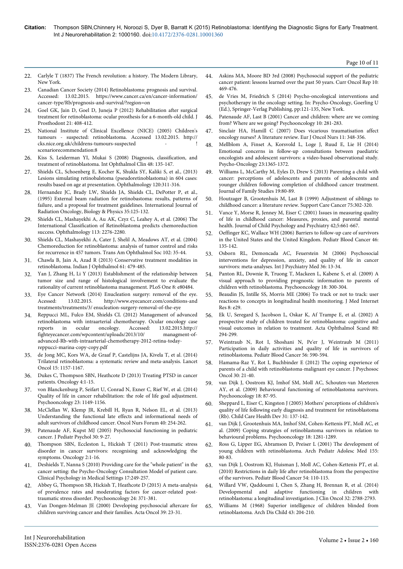- 22. Carlyle T (1837) The French revolution: a history. The Modern Library, New York.
- 23. Canadian Cancer Society (2014) Retinoblastoma: prognosis and survival. Accessed: 13.02.2015. https://www.cancer.ca/en/cancer-information/ cancer-type/Rb/prognosis-and-survival/?region=on
- 24. [Goel GK, Jain D, Goel D, Juneja P \(2012\) Rehabilitation after surgical](http://www.ncbi.nlm.nih.gov/pubmed/22784210) [treatment for retinoblastoma: ocular prosthesis for a 6-month-old child. J](http://www.ncbi.nlm.nih.gov/pubmed/22784210) [Prosthodont 21: 408-412.](http://www.ncbi.nlm.nih.gov/pubmed/22784210)
- 25. National Institute of Clinical Excellence (NICE) (2005) Children's tumours - suspected: retinoblastoma. Accessed 13.02.2015. http:// cks.nice.org.uk/childrens-tumours-suspected -  $\qquad \qquad$  ! scenariorecommendation:8
- 26. [Kiss S, Leiderman YI, Mukai S \(2008\) Diagnosis, classification, and](http://www.ncbi.nlm.nih.gov/pubmed/18427266) [treatment of retinoblastoma. Int Ophthalmol Clin 48: 135-147.](http://www.ncbi.nlm.nih.gov/pubmed/18427266)
- 27. Shields CL, Schoenberg E, Kocher K, Shukla SY, Kaliki S, et al., (2013) Lesions simulating retinobalstoma (pseudoretinoblastoma) in 604 cases: results based on age at presentation. Ophthalmology 120:311-316.
- 28. Hernandez JC, Brady LW, Shields JA, Shields CL, DePotter P, et al., (1995) External beam radiation for retinobastoma: results, patterns of failure, and a proposal for treatment guidelines. International Journal of Radiation Oncology, Biology & Physics 35:125-132.
- 29. [Shields CL, Mashayekhi A, Au AK, Czyz C, Leahey A, et al. \(2006\) The](http://www.ncbi.nlm.nih.gov/pubmed/16996605) [International Classification of Retinoblastoma predicts chemoreduction](http://www.ncbi.nlm.nih.gov/pubmed/16996605) [success. Ophthalmology 113: 2276-2280.](http://www.ncbi.nlm.nih.gov/pubmed/16996605)
- 30. [Shields CL, Mashayekhi A, Cater J, Shelil A, Meadows AT, et al. \(2004\)](http://www.ncbi.nlm.nih.gov/pubmed/15747743) [Chemoreduction for retinoblastoma: analysis of tumor control and risks](http://www.ncbi.nlm.nih.gov/pubmed/15747743) [for recurrence in 457 tumors. Trans Am Ophthalmol Soc 102: 35-44.](http://www.ncbi.nlm.nih.gov/pubmed/15747743)
- 31. [Chawla B, Jain A, Azad R \(2013\) Conservative treatment modalities in](http://www.ncbi.nlm.nih.gov/pubmed/24104705) [retinoblastoma. Indian J Ophthalmol 61: 479-485.](http://www.ncbi.nlm.nih.gov/pubmed/24104705)
- 32. [Yan J, Zhang H, Li Y \(2013\) Establishment of the relationship between](http://www.ncbi.nlm.nih.gov/pubmed/24312226) [tumor size and range of histological involvement to evaluate the](http://www.ncbi.nlm.nih.gov/pubmed/24312226) [rationality of current retinoblastoma management. PLoS One 8: e80484.](http://www.ncbi.nlm.nih.gov/pubmed/24312226)
- 33. Eye Cancer Network (2014) Enucleation surgery: removal of the eye.<br>Acessed: 13.02.2015. http://www.evecancer.com/conditions-and http://www.eyecancer.com/conditions-and treatments/treatments/3/ enucleation-surgery-removal-of-the-eye
- 34. Reppucci ML, Fulco EM, Shields CL (2012) Management of advanced retinoblastoma with intraarterial chemotherapy. Ocular oncology case reports in ocular oncology. Accessed: 13.02.2015.http:// fighteyecancer.com/wpcontent/uploads/2013/10/ managment-ofadvanced-Rb-with-intraarterial-chemotherapy-2012-retina-todayreppucci-marina-copy-copy.pdf
- 35. [de Jong MC, Kors WA, de Graaf P, Castelijns JA, Kivela T, et al. \(2014\)](http://www.ncbi.nlm.nih.gov/pubmed/25126964) [Trilateral retinoblastoma: a systematic review and meta-analysis. Lancet](http://www.ncbi.nlm.nih.gov/pubmed/25126964) [Oncol 15: 1157-1167.](http://www.ncbi.nlm.nih.gov/pubmed/25126964)
- 36. Dukes C, Thompson SBN, Heathcote D (2013) Treating PTSD in cancer patients. Oncology 4:1-15.
- 37. [von Blanckenburg P, Seifart U, Conrad N, Exner C, Rief W, et al. \(2014\)](http://www.ncbi.nlm.nih.gov/pubmed/24729457) [Quality of life in cancer rehabilitation: the role of life goal adjustment.](http://www.ncbi.nlm.nih.gov/pubmed/24729457) [Psychooncology 23: 1149-1156.](http://www.ncbi.nlm.nih.gov/pubmed/24729457)
- 38. [McClellan W, Klemp JR, Krebill H, Ryan R, Nelson EL, et al. \(2013\)](http://www.ncbi.nlm.nih.gov/pubmed/23615138) [Understanding the functional late effects and informational needs of](http://www.ncbi.nlm.nih.gov/pubmed/23615138) [adult survivors of childhood cancer. Oncol Nurs Forum 40: 254-262.](http://www.ncbi.nlm.nih.gov/pubmed/23615138)
- 39. [Patenaude AF, Kupst MJ \(2005\) Psychosocial functioning in pediatric](http://www.ncbi.nlm.nih.gov/pubmed/15610981) [cancer. J Pediatr Psychol 30: 9-27.](http://www.ncbi.nlm.nih.gov/pubmed/15610981)
- 40. Thompson SBN, Eccleston L, Hickish T (2011) Post-traumatic stress disorder in cancer survivors: recognising and acknowledging the symptoms. Oncology 2:1-16.
- 41. Deshields T, Nanna S (2010) Providing care for the "whole patient" in the cancer setting: the Psycho-Oncology Consultation Model of patient care. Clinical Psychology in Medical Settings 17:249-257.
- 42. [Abbey G, Thompson SB, Hickish T, Heathcote D \(2015\) A meta-analysis](http://www.ncbi.nlm.nih.gov/pubmed/25146298) [of prevalence rates and moderating factors for cancer-related post](http://www.ncbi.nlm.nih.gov/pubmed/25146298)[traumatic stress disorder. Psychooncology 24: 371-381.](http://www.ncbi.nlm.nih.gov/pubmed/25146298)
- 43. [Van Dongen-Melman JE \(2000\) Developing psychosocial aftercare for](http://www.ncbi.nlm.nih.gov/pubmed/10752650) [children surviving cancer and their families. Acta Oncol 39: 23-31.](http://www.ncbi.nlm.nih.gov/pubmed/10752650)

44. [Askins MA, Moore BD 3rd \(2008\) Psychosocial support of the pediatric](http://www.ncbi.nlm.nih.gov/pubmed/18928661) [cancer patient: lessons learned over the past 50 years. Curr Oncol Rep 10:](http://www.ncbi.nlm.nih.gov/pubmed/18928661) [469-476.](http://www.ncbi.nlm.nih.gov/pubmed/18928661)

Page 10 of 11

- 45. de Vries M, Friedrich S (2014) Psycho-oncological interventions and psychotherapy in the oncology setting. In: Psycho-Oncology, Goerling U (Ed.), Springer-Verlag Publishing, pp:121-135, New York.
- 46. [Patenaude AF, Last B \(2001\) Cancer and children: where are we coming](http://www.ncbi.nlm.nih.gov/pubmed/11462226) [from? Where are we going? Psychooncology 10: 281-283.](http://www.ncbi.nlm.nih.gov/pubmed/11462226)
- 47. [Sinclair HA, Hamill C \(2007\) Does vicarious traumatisation affect](http://www.ncbi.nlm.nih.gov/pubmed/17482879) [oncology nurses? A literature review. Eur J Oncol Nurs 11: 348-356.](http://www.ncbi.nlm.nih.gov/pubmed/17482879)
- 48. Mellblom A, Finset A, Korsvold L, Loge J, Ruud E, Lie H (2014) Emotional concerns in follow-up consultations between paediatric oncologists and adolescent survivors: a video-based observational study. Psycho-Oncology 23:1365-1372.
- 49. Williams L, McCarthy M, Eyles D, Drew S (2013) Parenting a child with cancer: perceptions of adolescents and parents of adolescents and younger children following completion of childhood cancer treatment. Journal of Family Studies 19:80-89.
- 50. Houtzager B, Grootenhuis M, Last B (1999) Adjustment of siblings to childhood cancer: a literature review. Support Care Cancer 75:302-320.
- 51. Vance Y, Morse R, Jenney M, Eiser C (2001) Issues in measuring quality of life in childhood cancer: Measures, proxies, and parental mental health. Journal of Child Psychology and Psychiatry 42;5:661-667.
- 52. [Oeffinger KC, Wallace WH \(2006\) Barriers to follow-up care of survivors](http://www.ncbi.nlm.nih.gov/pubmed/16369921) [in the United States and the United Kingdom. Pediatr Blood Cancer 46:](http://www.ncbi.nlm.nih.gov/pubmed/16369921) [135-142.](http://www.ncbi.nlm.nih.gov/pubmed/16369921)
- 53. [Osborn RL, Demoncada AC, Feuerstein M \(2006\) Psychosocial](http://www.ncbi.nlm.nih.gov/pubmed/16927576) [interventions for depression, anxiety, and quality of life in cancer](http://www.ncbi.nlm.nih.gov/pubmed/16927576) [survivors: meta-analyses. Int J Psychiatry Med 36: 13-34.](http://www.ncbi.nlm.nih.gov/pubmed/16927576)
- 54. [Panton RL, Downie R, Truong T, Mackeen L, Kabene S, et al. \(2009\) A](http://www.ncbi.nlm.nih.gov/pubmed/18702066) [visual approach to providing prognostic information to parents of](http://www.ncbi.nlm.nih.gov/pubmed/18702066) [children with retinoblastoma. Psychooncology 18: 300-304.](http://www.ncbi.nlm.nih.gov/pubmed/18702066)
- 55. [Beaudin JS, Intille SS, Morris ME \(2006\) To track or not to track: user](http://www.ncbi.nlm.nih.gov/pubmed/17236264) [reactions to concepts in longitudinal health monitoring. J Med Internet](http://www.ncbi.nlm.nih.gov/pubmed/17236264) [Res 8: e29.](http://www.ncbi.nlm.nih.gov/pubmed/17236264)
- 56. [Ek U, Seregard S, Jacobson L, Oskar K, Af Trampe E, et al. \(2002\) A](http://www.ncbi.nlm.nih.gov/pubmed/12059869) [prospective study of children treated for retinoblastoma: cognitive and](http://www.ncbi.nlm.nih.gov/pubmed/12059869) [visual outcomes in relation to treatment. Acta Ophthalmol Scand 80:](http://www.ncbi.nlm.nih.gov/pubmed/12059869) [294-299.](http://www.ncbi.nlm.nih.gov/pubmed/12059869)
- 57. [Weintraub N, Rot I, Shoshani N, Pe'er J, Weintraub M \(2011\)](http://www.ncbi.nlm.nih.gov/pubmed/21298744) [Participation in daily activities and quality of life in survivors of](http://www.ncbi.nlm.nih.gov/pubmed/21298744) [retinoblastoma. Pediatr Blood Cancer 56: 590-594.](http://www.ncbi.nlm.nih.gov/pubmed/21298744)
- 58. [Hamama-Raz Y, Rot I, Buchbinder E \(2012\) The coping experience of](http://www.ncbi.nlm.nih.gov/pubmed/22269074) [parents of a child with retinoblastoma-malignant eye cancer. J Psychosoc](http://www.ncbi.nlm.nih.gov/pubmed/22269074) [Oncol 30: 21-40.](http://www.ncbi.nlm.nih.gov/pubmed/22269074)
- 59. [van Dijk J, Oostrom KJ, Imhof SM, Moll AC, Schouten-van Meeteren](http://www.ncbi.nlm.nih.gov/pubmed/18613302) [AY, et al. \(2009\) Behavioural functioning of retinoblastoma survivors.](http://www.ncbi.nlm.nih.gov/pubmed/18613302) [Psychooncology 18: 87-95.](http://www.ncbi.nlm.nih.gov/pubmed/18613302)
- 60. [Sheppard L, Eiser C, Kingston J \(2005\) Mothers' perceptions of children's](http://www.ncbi.nlm.nih.gov/pubmed/15715692) [quality of life following early diagnosis and treatment for retinoblastoma](http://www.ncbi.nlm.nih.gov/pubmed/15715692) [\(Rb\). Child Care Health Dev 31: 137-142.](http://www.ncbi.nlm.nih.gov/pubmed/15715692)
- 61. [van Dijk J, Grootenhuis MA, Imhof SM, Cohen-Kettenis PT, Moll AC, et](http://www.ncbi.nlm.nih.gov/pubmed/19222049) [al. \(2009\) Coping strategies of retinoblastoma survivors in relation to](http://www.ncbi.nlm.nih.gov/pubmed/19222049) [behavioural problems. Psychooncology 18: 1281-1289.](http://www.ncbi.nlm.nih.gov/pubmed/19222049)
- 62. [Ross G, Lipper EG, Abramson D, Preiser L \(2001\) The development of](http://www.ncbi.nlm.nih.gov/pubmed/11177067) [young children with retinoblastoma. Arch Pediatr Adolesc Med 155:](http://www.ncbi.nlm.nih.gov/pubmed/11177067) [80-83.](http://www.ncbi.nlm.nih.gov/pubmed/11177067)
- 63. [van Dijk J, Oostrom KJ, Huisman J, Moll AC, Cohen-Kettenis PT, et al.](http://www.ncbi.nlm.nih.gov/pubmed/19760766) [\(2010\) Restrictions in daily life after retinoblastoma from the perspective](http://www.ncbi.nlm.nih.gov/pubmed/19760766) [of the survivors. Pediatr Blood Cancer 54: 110-115.](http://www.ncbi.nlm.nih.gov/pubmed/19760766)
- 64. [Willard VW, Qaddoumi I, Chen S, Zhang H, Brennan R, et al. \(2014\)](http://www.ncbi.nlm.nih.gov/pubmed/25024069) [Developmental and adaptive functioning in children with](http://www.ncbi.nlm.nih.gov/pubmed/25024069) [retinoblastoma: a longitudinal investigation. J Clin Oncol 32: 2788-2793.](http://www.ncbi.nlm.nih.gov/pubmed/25024069)
- 65. [Williams M \(1968\) Superior intelligence of children blinded from](http://www.ncbi.nlm.nih.gov/pubmed/5645692) [retinoblastoma. Arch Dis Child 43: 204-210.](http://www.ncbi.nlm.nih.gov/pubmed/5645692)